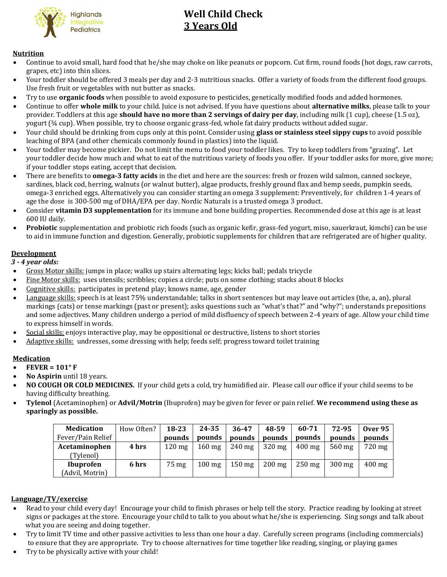

# **Well Child Check 3 Years Old**

# **Nutrition**

- Continue to avoid small, hard food that he/she may choke on like peanuts or popcorn. Cut firm, round foods (hot dogs, raw carrots, grapes, etc) into thin slices.
- Your toddler should be offered 3 meals per day and 2-3 nutritious snacks. Offer a variety of foods from the different food groups. Use fresh fruit or vegetables with nut butter as snacks.
- Try to use **organic foods** when possible to avoid exposure to pesticides, genetically modified foods and added hormones.
- Continue to offer **whole milk** to your child. Juice is not advised. If you have questions about **alternative milks**, please talk to your provider. Toddlers at this age **should have no more than 2 servings of dairy per day**, including milk (1 cup), cheese (1.5 oz), yogurt (¾ cup). When possible, try to choose organic grass-fed, whole fat dairy products without added sugar.
- Your child should be drinking from cups only at this point. Consider using **glass or stainless steel sippy cups** to avoid possible leaching of BPA (and other chemicals commonly found in plastics) into the liquid.
- Your toddler may become pickier. Do not limit the menu to food your toddler likes. Try to keep toddlers from "grazing". Let your toddler decide how much and what to eat of the nutritious variety of foods you offer. If your toddler asks for more, give more; if your toddler stops eating, accept that decision.
- There are benefits to **omega-3 fatty acids** in the diet and here are the sources: fresh or frozen wild salmon, canned sockeye, sardines, black cod, herring, walnuts (or walnut butter), algae products, freshly ground flax and hemp seeds, pumpkin seeds, omega-3 enriched eggs. Alternatively you can consider starting an omega 3 supplement: Preventively, for children 1-4 years of age the dose is 300-500 mg of DHA/EPA per day. Nordic Naturals is a trusted omega 3 product.
- Consider **vitamin D3 supplementation** for its immune and bone building properties. Recommended dose at this age is at least 600 IU daily.
- **Probiotic** supplementation and probiotic rich foods (such as organic kefir, grass-fed yogurt, miso, sauerkraut, kimchi) can be use to aid in immune function and digestion. Generally, probiotic supplements for children that are refrigerated are of higher quality.

# **Development**

- *3 - 4 year olds:*
- Gross Motor skills: jumps in place; walks up stairs alternating legs; kicks ball; pedals tricycle
- Fine Motor skills: uses utensils; scribbles; copies a circle; puts on some clothing; stacks about 8 blocks
- Cognitive skills: participates in pretend play; knows name, age, gender
- Language skills: speech is at least 75% understandable; talks in short sentences but may leave out articles (the, a, an), plural markings (cats) or tense markings (past or present); asks questions such as "what's that?" and "why?"; understands prepositions and some adjectives. Many children undergo a period of mild disfluency of speech between 2-4 years of age. Allow your child time to express himself in words.
- Social skills: enjoys interactive play, may be oppositional or destructive, listens to short stories
- Adaptive skills: undresses, some dressing with help; feeds self; progress toward toilet training

# **Medication**

- **FEVER = 101° F**
- **No Aspirin** until 18 years.
- **NO COUGH OR COLD MEDICINES.** If your child gets a cold, try humidified air. Please call our office if your child seems to be having difficulty breathing.
- **Tylenol** (Acetaminophen) or **Advil/Motrin** (Ibuprofen) may be given for fever or pain relief. **We recommend using these as sparingly as possible.**

| <b>Medication</b> | How Often? | 18-23            | 24-35            | 36-47            | 48-59            | 60-71            | 72-95            | <b>Over 95</b>   |
|-------------------|------------|------------------|------------------|------------------|------------------|------------------|------------------|------------------|
| Fever/Pain Relief |            | pounds           | pounds           | pounds           | pounds           | pounds           | pounds           | pounds           |
| Acetaminophen     | 4 hrs      | $120 \text{ mg}$ | $160 \text{ mg}$ | $240 \text{ mg}$ | $320 \text{ mg}$ | $400 \text{ mg}$ | $560$ mg         | 720 mg           |
| (Tvlenol)         |            |                  |                  |                  |                  |                  |                  |                  |
| <b>Ibuprofen</b>  | 6 hrs      | 75 mg            | $100 \text{ mg}$ | $150 \text{ mg}$ | $200 \text{ mg}$ | $250 \text{ mg}$ | $300 \text{ mg}$ | $400 \text{ mg}$ |
| (Advil, Motrin)   |            |                  |                  |                  |                  |                  |                  |                  |

#### **Language/TV/exercise**

- Read to your child every day! Encourage your child to finish phrases or help tell the story. Practice reading by looking at street signs or packages at the store. Encourage your child to talk to you about what he/she is experiencing. Sing songs and talk about what you are seeing and doing together.
- Try to limit TV time and other passive activities to less than one hour a day. Carefully screen programs (including commercials) to ensure that they are appropriate. Try to choose alternatives for time together like reading, singing, or playing games
- Try to be physically active with your child!